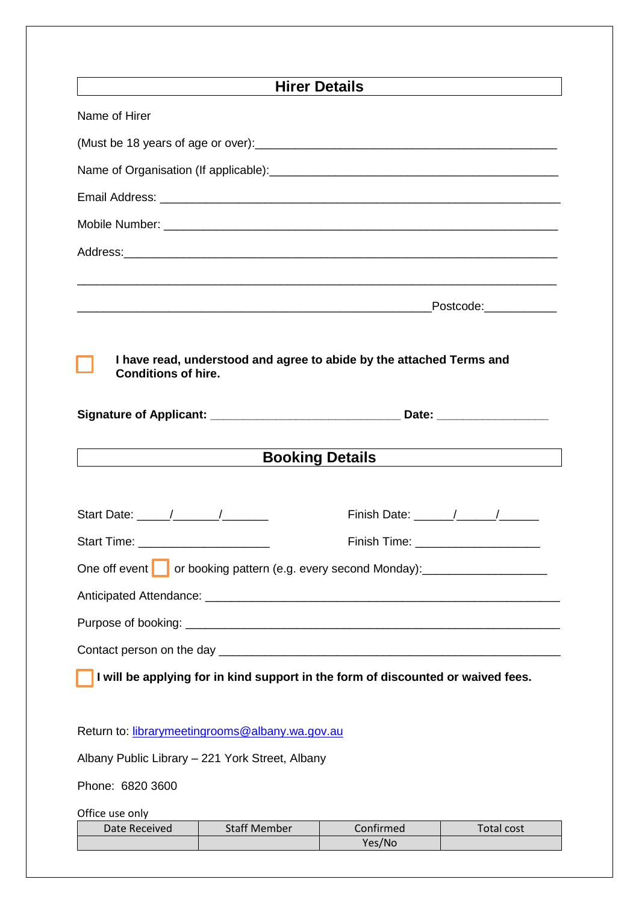| <u> 1989 - John Stein, Amerikaansk politiker (</u>                                                 | <b>Hirer Details</b>   |                                      |
|----------------------------------------------------------------------------------------------------|------------------------|--------------------------------------|
| Name of Hirer                                                                                      |                        |                                      |
|                                                                                                    |                        |                                      |
|                                                                                                    |                        |                                      |
|                                                                                                    |                        |                                      |
|                                                                                                    |                        |                                      |
| Address: Address:                                                                                  |                        |                                      |
|                                                                                                    |                        |                                      |
|                                                                                                    |                        | Postcode:____________                |
|                                                                                                    |                        |                                      |
| I have read, understood and agree to abide by the attached Terms and<br><b>Conditions of hire.</b> |                        |                                      |
|                                                                                                    |                        |                                      |
|                                                                                                    |                        |                                      |
|                                                                                                    | <b>Booking Details</b> |                                      |
|                                                                                                    |                        |                                      |
|                                                                                                    |                        |                                      |
| Start Time: ________________________                                                               |                        | Finish Time: _______________________ |
| One off event or booking pattern (e.g. every second Monday):                                       |                        |                                      |
|                                                                                                    |                        |                                      |
|                                                                                                    |                        |                                      |
|                                                                                                    |                        |                                      |
| I will be applying for in kind support in the form of discounted or waived fees.                   |                        |                                      |
|                                                                                                    |                        |                                      |
| Return to: librarymeetingrooms@albany.wa.gov.au                                                    |                        |                                      |
| Albany Public Library - 221 York Street, Albany                                                    |                        |                                      |
| Phone: 6820 3600                                                                                   |                        |                                      |
| Office use only                                                                                    |                        |                                      |
| <b>Staff Member</b><br>Date Received                                                               | Confirmed<br>Yes/No    | Total cost                           |
|                                                                                                    |                        |                                      |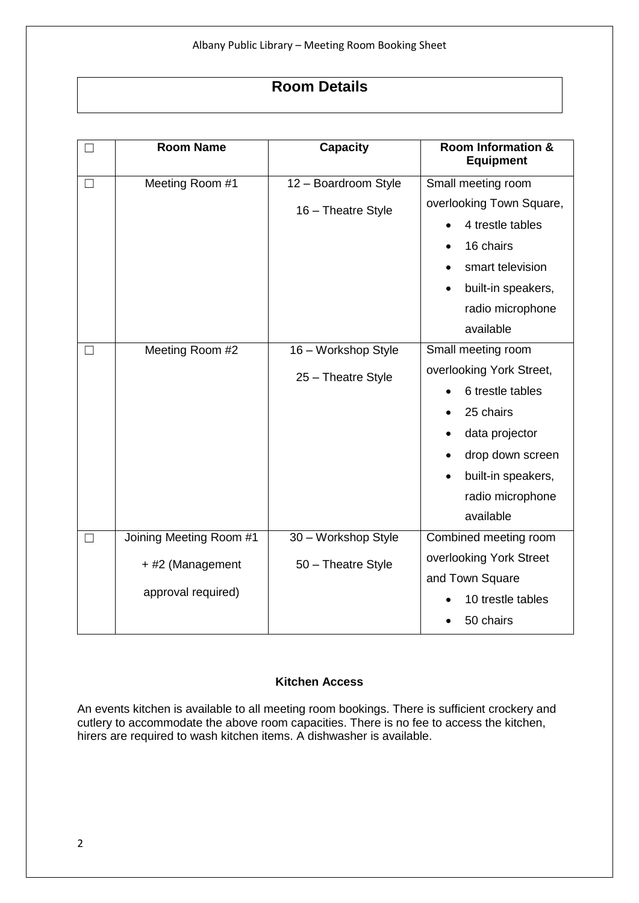# **Room Details**

| $\vert \ \ \vert$ | <b>Room Name</b>        | <b>Capacity</b>      | <b>Room Information &amp;</b><br><b>Equipment</b> |
|-------------------|-------------------------|----------------------|---------------------------------------------------|
| $\Box$            | Meeting Room #1         | 12 - Boardroom Style | Small meeting room                                |
|                   |                         | 16 - Theatre Style   | overlooking Town Square,                          |
|                   |                         |                      | 4 trestle tables                                  |
|                   |                         |                      | 16 chairs<br>$\bullet$                            |
|                   |                         |                      | smart television                                  |
|                   |                         |                      | built-in speakers,<br>$\bullet$                   |
|                   |                         |                      | radio microphone                                  |
|                   |                         |                      | available                                         |
| $\Box$            | Meeting Room #2         | 16 - Workshop Style  | Small meeting room                                |
|                   |                         | 25 - Theatre Style   | overlooking York Street,                          |
|                   |                         |                      | 6 trestle tables                                  |
|                   |                         |                      | 25 chairs                                         |
|                   |                         |                      | data projector                                    |
|                   |                         |                      | drop down screen                                  |
|                   |                         |                      | built-in speakers,                                |
|                   |                         |                      | radio microphone                                  |
|                   |                         |                      | available                                         |
| $\Box$            | Joining Meeting Room #1 | 30 - Workshop Style  | Combined meeting room                             |
|                   | + #2 (Management        | 50 - Theatre Style   | overlooking York Street                           |
|                   |                         |                      | and Town Square                                   |
|                   | approval required)      |                      | 10 trestle tables                                 |
|                   |                         |                      | 50 chairs                                         |

### **Kitchen Access**

An events kitchen is available to all meeting room bookings. There is sufficient crockery and cutlery to accommodate the above room capacities. There is no fee to access the kitchen, hirers are required to wash kitchen items. A dishwasher is available.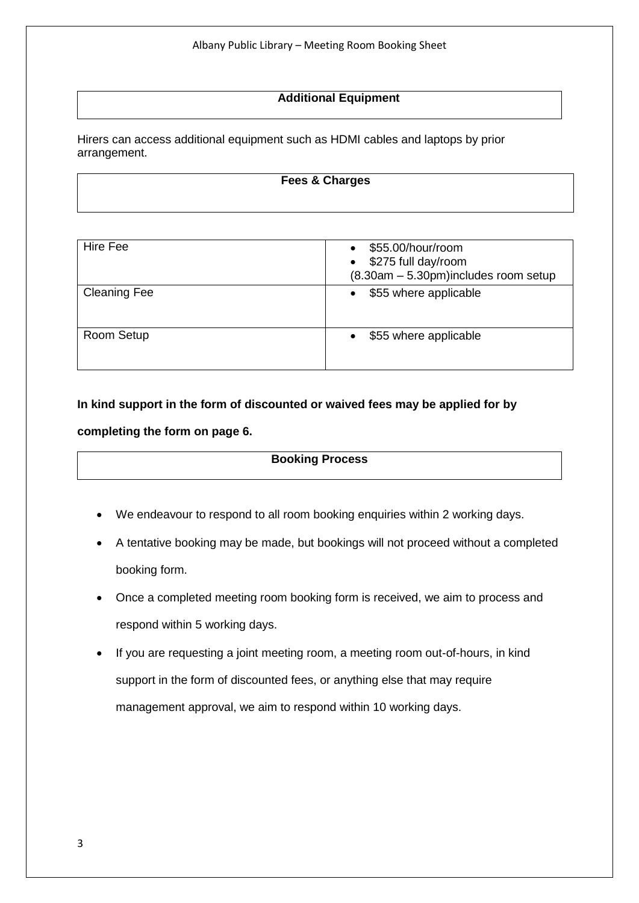## **Additional Equipment**

Hirers can access additional equipment such as HDMI cables and laptops by prior arrangement.

#### **Fees & Charges**

| Hire Fee            | \$55.00/hour/room<br>\$275 full day/room<br>$\bullet$<br>$(8.30am - 5.30pm)$ includes room setup |
|---------------------|--------------------------------------------------------------------------------------------------|
| <b>Cleaning Fee</b> | \$55 where applicable<br>$\bullet$                                                               |
| Room Setup          | \$55 where applicable                                                                            |

**In kind support in the form of discounted or waived fees may be applied for by completing the form on page 6.**

#### **Booking Process**

- We endeavour to respond to all room booking enquiries within 2 working days.
- A tentative booking may be made, but bookings will not proceed without a completed booking form.
- Once a completed meeting room booking form is received, we aim to process and respond within 5 working days.
- If you are requesting a joint meeting room, a meeting room out-of-hours, in kind support in the form of discounted fees, or anything else that may require management approval, we aim to respond within 10 working days.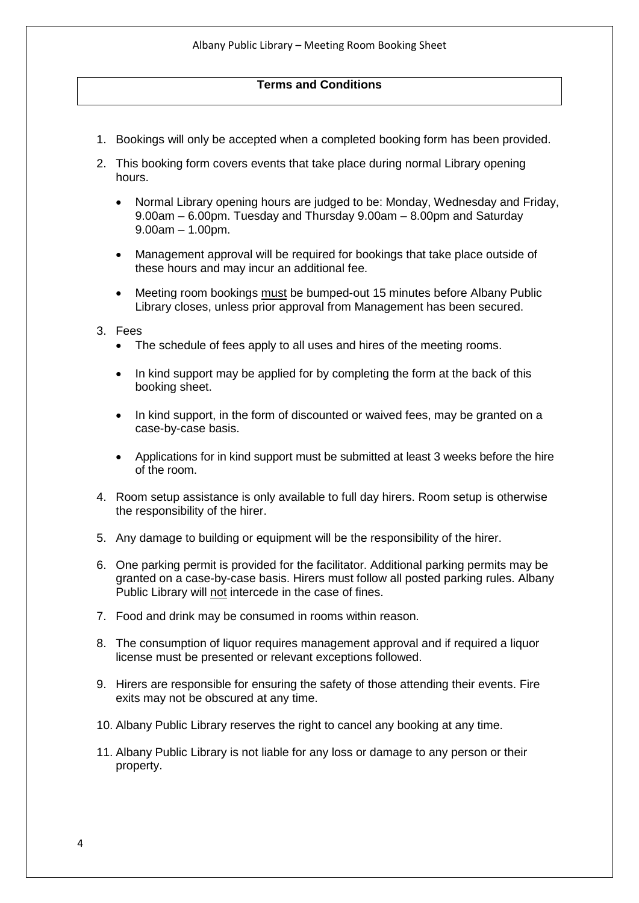# **Terms and Conditions**

- 1. Bookings will only be accepted when a completed booking form has been provided.
- 2. This booking form covers events that take place during normal Library opening hours.
	- Normal Library opening hours are judged to be: Monday, Wednesday and Friday, 9.00am – 6.00pm. Tuesday and Thursday 9.00am – 8.00pm and Saturday 9.00am – 1.00pm.
	- Management approval will be required for bookings that take place outside of these hours and may incur an additional fee.
	- Meeting room bookings must be bumped-out 15 minutes before Albany Public Library closes, unless prior approval from Management has been secured.

#### 3. Fees

- The schedule of fees apply to all uses and hires of the meeting rooms.
- In kind support may be applied for by completing the form at the back of this booking sheet.
- In kind support, in the form of discounted or waived fees, may be granted on a case-by-case basis.
- Applications for in kind support must be submitted at least 3 weeks before the hire of the room.
- 4. Room setup assistance is only available to full day hirers. Room setup is otherwise the responsibility of the hirer.
- 5. Any damage to building or equipment will be the responsibility of the hirer.
- 6. One parking permit is provided for the facilitator. Additional parking permits may be granted on a case-by-case basis. Hirers must follow all posted parking rules. Albany Public Library will not intercede in the case of fines.
- 7. Food and drink may be consumed in rooms within reason.
- 8. The consumption of liquor requires management approval and if required a liquor license must be presented or relevant exceptions followed.
- 9. Hirers are responsible for ensuring the safety of those attending their events. Fire exits may not be obscured at any time.
- 10. Albany Public Library reserves the right to cancel any booking at any time.
- 11. Albany Public Library is not liable for any loss or damage to any person or their property.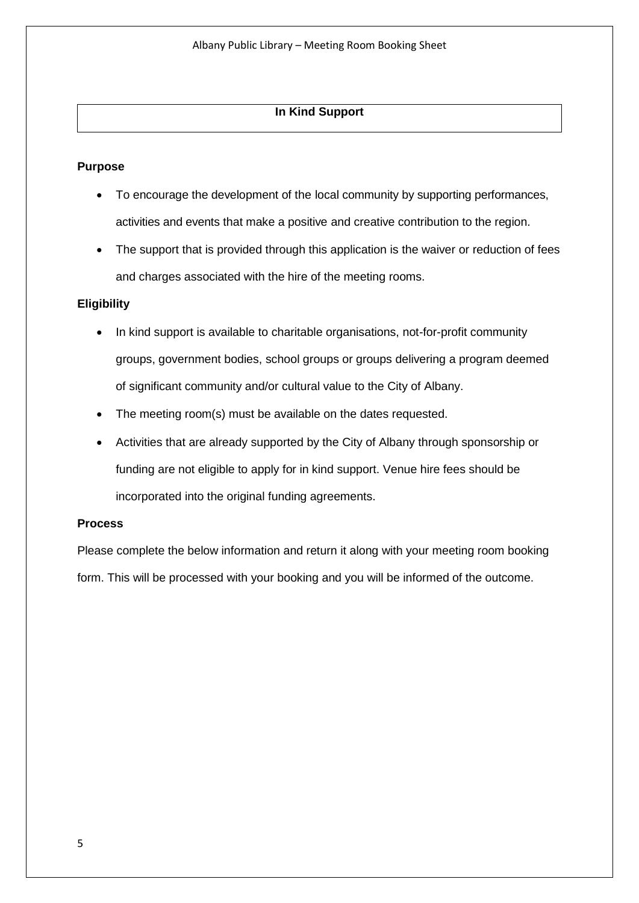# **In Kind Support**

#### **Purpose**

- To encourage the development of the local community by supporting performances, activities and events that make a positive and creative contribution to the region.
- The support that is provided through this application is the waiver or reduction of fees and charges associated with the hire of the meeting rooms.

#### **Eligibility**

- In kind support is available to charitable organisations, not-for-profit community groups, government bodies, school groups or groups delivering a program deemed of significant community and/or cultural value to the City of Albany.
- The meeting room(s) must be available on the dates requested.
- Activities that are already supported by the City of Albany through sponsorship or funding are not eligible to apply for in kind support. Venue hire fees should be incorporated into the original funding agreements.

#### **Process**

Please complete the below information and return it along with your meeting room booking form. This will be processed with your booking and you will be informed of the outcome.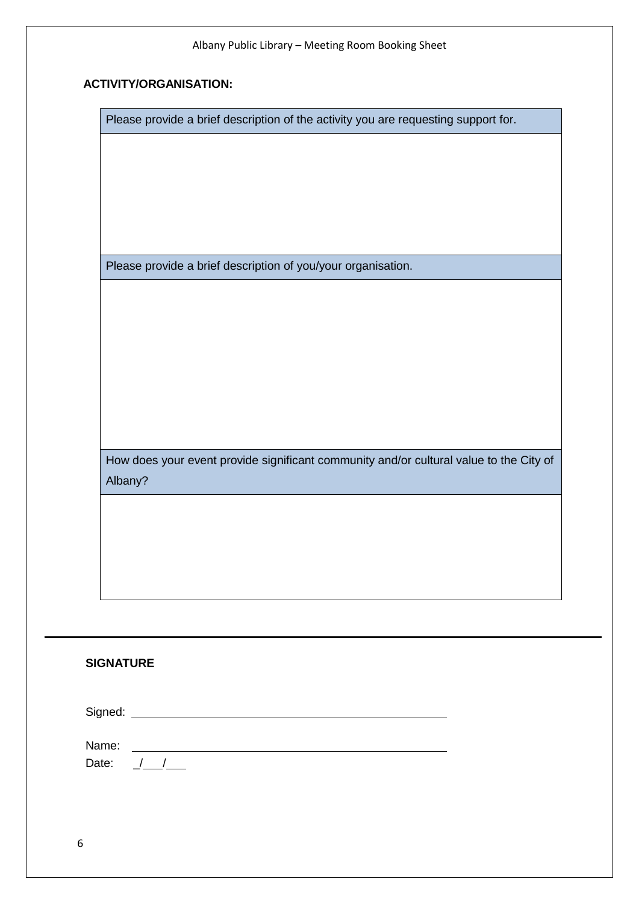# **ACTIVITY/ORGANISATION:**

Please provide a brief description of the activity you are requesting support for.

Please provide a brief description of you/your organisation.

How does your event provide significant community and/or cultural value to the City of Albany?

# **SIGNATURE**

Signed:

Name: Date:  $/ /$